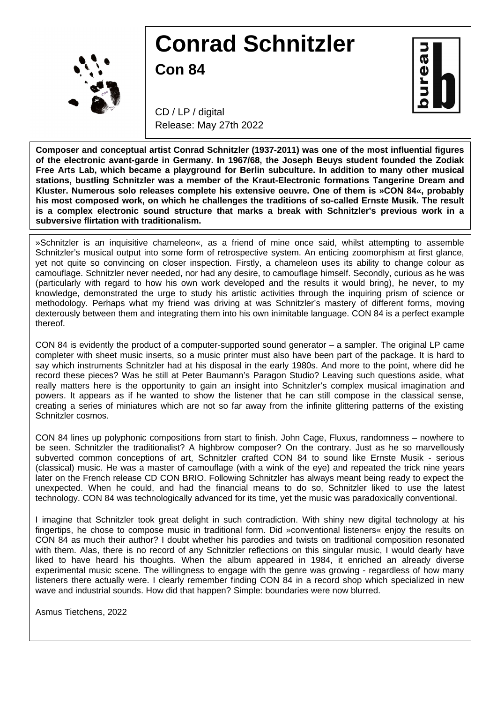

## **Conrad Schnitzler**

**Con 84**



CD / LP / digital Release: May 27th 2022

**Composer and conceptual artist Conrad Schnitzler (1937-2011) was one of the most influential figures of the electronic avant-garde in Germany. In 1967/68, the Joseph Beuys student founded the Zodiak Free Arts Lab, which became a playground for Berlin subculture. In addition to many other musical stations, bustling Schnitzler was a member of the Kraut-Electronic formations Tangerine Dream and Kluster. Numerous solo releases complete his extensive oeuvre. One of them is »CON 84«, probably his most composed work, on which he challenges the traditions of so-called Ernste Musik. The result is a complex electronic sound structure that marks a break with Schnitzler's previous work in a subversive flirtation with traditionalism.**

»Schnitzler is an inquisitive chameleon«, as a friend of mine once said, whilst attempting to assemble Schnitzler's musical output into some form of retrospective system. An enticing zoomorphism at first glance, yet not quite so convincing on closer inspection. Firstly, a chameleon uses its ability to change colour as camouflage. Schnitzler never needed, nor had any desire, to camouflage himself. Secondly, curious as he was (particularly with regard to how his own work developed and the results it would bring), he never, to my knowledge, demonstrated the urge to study his artistic activities through the inquiring prism of science or methodology. Perhaps what my friend was driving at was Schnitzler's mastery of different forms, moving dexterously between them and integrating them into his own inimitable language. CON 84 is a perfect example thereof.

CON 84 is evidently the product of a computer-supported sound generator – a sampler. The original LP came completer with sheet music inserts, so a music printer must also have been part of the package. It is hard to say which instruments Schnitzler had at his disposal in the early 1980s. And more to the point, where did he record these pieces? Was he still at Peter Baumann's Paragon Studio? Leaving such questions aside, what really matters here is the opportunity to gain an insight into Schnitzler's complex musical imagination and powers. It appears as if he wanted to show the listener that he can still compose in the classical sense, creating a series of miniatures which are not so far away from the infinite glittering patterns of the existing Schnitzler cosmos.

CON 84 lines up polyphonic compositions from start to finish. John Cage, Fluxus, randomness – nowhere to be seen. Schnitzler the traditionalist? A highbrow composer? On the contrary. Just as he so marvellously subverted common conceptions of art, Schnitzler crafted CON 84 to sound like Ernste Musik - serious (classical) music. He was a master of camouflage (with a wink of the eye) and repeated the trick nine years later on the French release CD CON BRIO. Following Schnitzler has always meant being ready to expect the unexpected. When he could, and had the financial means to do so, Schnitzler liked to use the latest technology. CON 84 was technologically advanced for its time, yet the music was paradoxically conventional.

I imagine that Schnitzler took great delight in such contradiction. With shiny new digital technology at his fingertips, he chose to compose music in traditional form. Did »conventional listeners« enjoy the results on CON 84 as much their author? I doubt whether his parodies and twists on traditional composition resonated with them. Alas, there is no record of any Schnitzler reflections on this singular music, I would dearly have liked to have heard his thoughts. When the album appeared in 1984, it enriched an already diverse experimental music scene. The willingness to engage with the genre was growing - regardless of how many listeners there actually were. I clearly remember finding CON 84 in a record shop which specialized in new wave and industrial sounds. How did that happen? Simple: boundaries were now blurred.

Asmus Tietchens, 2022